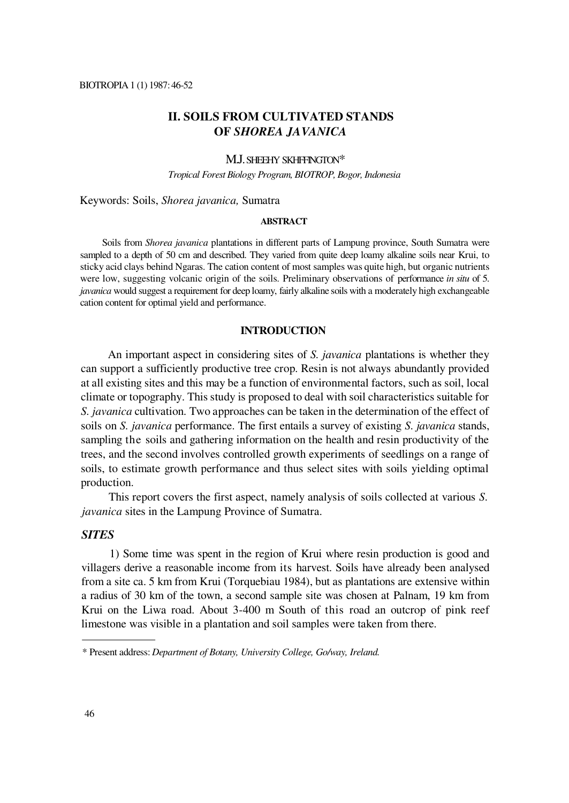## **II. SOILS FROM CULTIVATED STANDS OF** *SHOREA JAVANICA*

### M.J. SHEEHY SKHFFINGTON\*

*Tropical Forest Biology Program, BIOTROP, Bogor, Indonesia*

Keywords: Soils, *Shorea javanica,* Sumatra

## **ABSTRACT**

Soils from *Shorea javanica* plantations in different parts of Lampung province, South Sumatra were sampled to a depth of 50 cm and described. They varied from quite deep loamy alkaline soils near Krui, to sticky acid clays behind Ngaras. The cation content of most samples was quite high, but organic nutrients were low, suggesting volcanic origin of the soils. Preliminary observations of performance *in situ* of 5. *javanica* would suggest a requirement for deep loamy, fairly alkaline soils with a moderately high exchangeable cation content for optimal yield and performance.

### **INTRODUCTION**

An important aspect in considering sites of *S. javanica* plantations is whether they can support a sufficiently productive tree crop. Resin is not always abundantly provided at all existing sites and this may be a function of environmental factors, such as soil, local climate or topography. This study is proposed to deal with soil characteristics suitable for *S. javanica* cultivation. Two approaches can be taken in the determination of the effect of soils on *S. javanica* performance. The first entails a survey of existing *S*. *javanica* stands, sampling the soils and gathering information on the health and resin productivity of the trees, and the second involves controlled growth experiments of seedlings on a range of soils, to estimate growth performance and thus select sites with soils yielding optimal production.

This report covers the first aspect, namely analysis of soils collected at various *S. javanica* sites in the Lampung Province of Sumatra.

## *SITES*

1) Some time was spent in the region of Krui where resin production is good and villagers derive a reasonable income from its harvest. Soils have already been analysed from a site ca. 5 km from Krui (Torquebiau 1984), but as plantations are extensive within a radius of 30 km of the town, a second sample site was chosen at Palnam, 19 km from Krui on the Liwa road. About 3-400 m South of this road an outcrop of pink reef limestone was visible in a plantation and soil samples were taken from there.

<sup>\*</sup> Present address: *Department of Botany, University College, Go/way, Ireland.*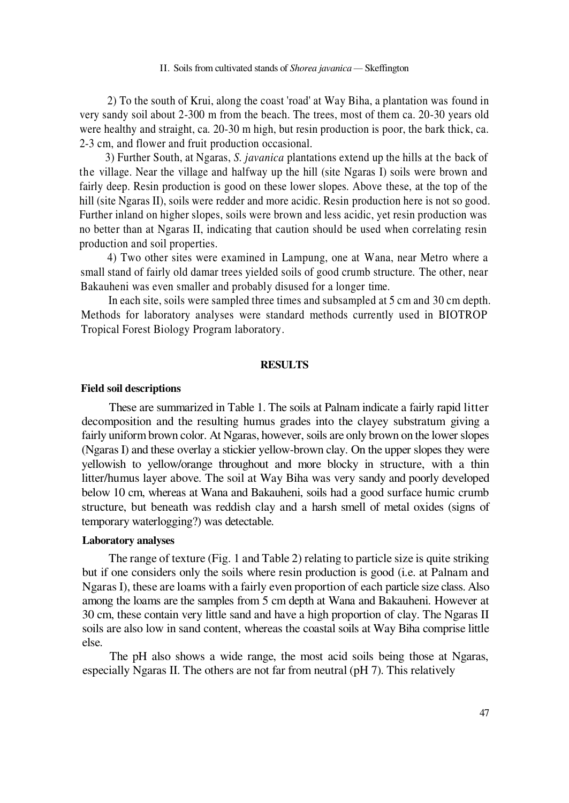#### II. Soils from cultivated stands of *Shorea javanica —* Skeffington

2) To the south of Krui, along the coast 'road' at Way Biha, a plantation was found in very sandy soil about 2-300 m from the beach. The trees, most of them ca. 20-30 years old were healthy and straight, ca. 20-30 m high, but resin production is poor, the bark thick, ca. 2-3 cm, and flower and fruit production occasional.

3) Further South, at Ngaras, *S. javanica* plantations extend up the hills at the back of the village. Near the village and halfway up the hill (site Ngaras I) soils were brown and fairly deep. Resin production is good on these lower slopes. Above these, at the top of the hill (site Ngaras II), soils were redder and more acidic. Resin production here is not so good. Further inland on higher slopes, soils were brown and less acidic, yet resin production was no better than at Ngaras II, indicating that caution should be used when correlating resin production and soil properties.

4) Two other sites were examined in Lampung, one at Wana, near Metro where a small stand of fairly old damar trees yielded soils of good crumb structure. The other, near Bakauheni was even smaller and probably disused for a longer time.

In each site, soils were sampled three times and subsampled at 5 cm and 30 cm depth. Methods for laboratory analyses were standard methods currently used in BIOTROP Tropical Forest Biology Program laboratory.

## **RESULTS**

## **Field soil descriptions**

These are summarized in Table 1. The soils at Palnam indicate a fairly rapid litter decomposition and the resulting humus grades into the clayey substratum giving a fairly uniform brown color. At Ngaras, however, soils are only brown on the lower slopes (Ngaras I) and these overlay a stickier yellow-brown clay. On the upper slopes they were yellowish to yellow/orange throughout and more blocky in structure, with a thin litter/humus layer above. The soil at Way Biha was very sandy and poorly developed below 10 cm, whereas at Wana and Bakauheni, soils had a good surface humic crumb structure, but beneath was reddish clay and a harsh smell of metal oxides (signs of temporary waterlogging?) was detectable.

#### **Laboratory analyses**

The range of texture (Fig. 1 and Table 2) relating to particle size is quite striking but if one considers only the soils where resin production is good (i.e. at Palnam and Ngaras I), these are loams with a fairly even proportion of each particle size class. Also among the loams are the samples from 5 cm depth at Wana and Bakauheni. However at 30 cm, these contain very little sand and have a high proportion of clay. The Ngaras II soils are also low in sand content, whereas the coastal soils at Way Biha comprise little else.

The pH also shows a wide range, the most acid soils being those at Ngaras, especially Ngaras II. The others are not far from neutral (pH 7). This relatively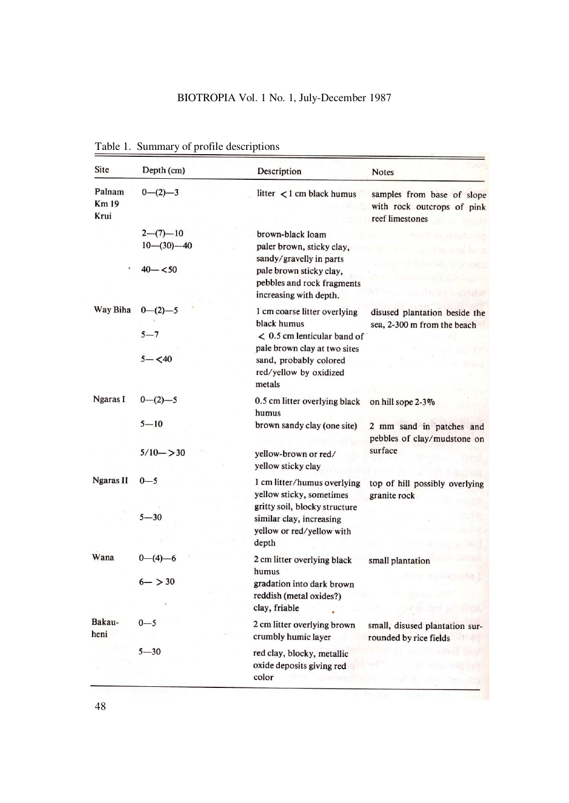# BIOTROPIA Vol. 1 No. 1, July-December 1987

| Site                    | Depth (cm)                 | Description                                                                                     | <b>Notes</b>                                                                |
|-------------------------|----------------------------|-------------------------------------------------------------------------------------------------|-----------------------------------------------------------------------------|
| Palnam<br>Km 19<br>Krui | $0-(2)-3$                  | litter $\langle 1 \rangle$ cm black humus                                                       | samples from base of slope<br>with rock outcrops of pink<br>reef limestones |
|                         | $2-(7)-10$<br>$10-(30)-40$ | brown-black loam<br>paler brown, sticky clay,<br>sandy/gravelly in parts                        |                                                                             |
|                         | $40 - 50$                  | pale brown sticky clay,<br>pebbles and rock fragments<br>increasing with depth.                 |                                                                             |
| Way Biha                | $0-(2)-5$<br>$5 - 7$       | 1 cm coarse litter overlying<br>black humus<br>$< 0.5$ cm lenticular band of                    | disused plantation beside the<br>sea, 2-300 m from the beach                |
|                         | $5 - < 40$                 | pale brown clay at two sites<br>sand, probably colored<br>red/yellow by oxidized<br>metals      |                                                                             |
| Ngaras I                | $0-(2)-5$                  | 0.5 cm litter overlying black<br>humus                                                          | on hill sope 2-3%                                                           |
|                         | $5 - 10$                   | brown sandy clay (one site)                                                                     | 2 mm sand in patches and<br>pebbles of clay/mudstone on                     |
|                         | $5/10 - >30$               | yellow-brown or red/<br>yellow sticky clay                                                      | surface                                                                     |
| <b>Ngaras II</b>        | $0 - 5$                    | 1 cm litter/humus overlying<br>yellow sticky, sometimes                                         | top of hill possibly overlying<br>granite rock                              |
|                         | $5 - 30$                   | gritty soil, blocky structure<br>similar clay, increasing<br>yellow or red/yellow with<br>depth |                                                                             |
| Wana                    | $0-(4)-6$                  | 2 cm litter overlying black<br>humus                                                            | small plantation                                                            |
|                         | $6 - > 30$                 | gradation into dark brown<br>reddish (metal oxides?)<br>clay, friable                           |                                                                             |
| Bakau-<br>heni          | $0 - 5$                    | 2 cm litter overlying brown<br>crumbly humic layer                                              | small, disused plantation sur-<br>rounded by rice fields                    |
|                         | $5 - 30$                   | red clay, blocky, metallic<br>oxide deposits giving red<br>color                                |                                                                             |

Table 1. Summary of profile descriptions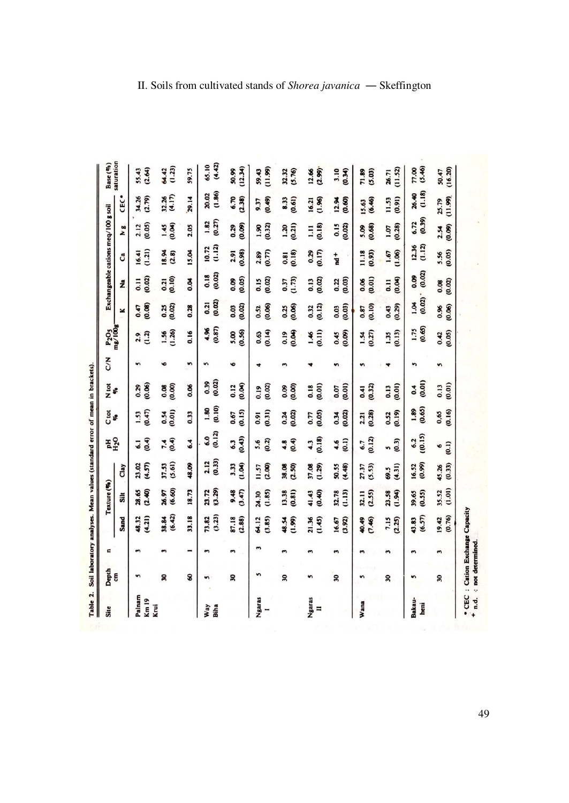| Site        | Depth        | $\blacksquare$ |        | Texture (%)     |                 | DZH<br>H2O     | $\frac{1}{2}$  | Ntot<br><b>S</b>   | <b>Z</b>     | $P_2O_5$ mg/100g   |                    |                    |                  | Exchangeable cations meq/100 g soil |                    | Base (%)         |
|-------------|--------------|----------------|--------|-----------------|-----------------|----------------|----------------|--------------------|--------------|--------------------|--------------------|--------------------|------------------|-------------------------------------|--------------------|------------------|
|             | E            |                | Sand   | Silt            | Clay            |                |                |                    |              |                    | ×                  | ż                  | ී                | 8<br>ż                              | CEC                | saturation       |
| Palnam      | $\mathbf{v}$ | S              | 48.32  | 28.65           | 23.02           | 6.1            | 1.53           | 0.29               | $\mathbf{v}$ | 2.9                | 0.47               | $\overline{a}$     | 16.41            | 2.12                                | 34.26              | 55.43            |
| <b>Km19</b> |              |                | (4.21) | (2.40)          | (4.57)          | (0.4)          | (0.47)         | (0.06)             |              | (1.2)              | (0.08)             | (0.02)             | (1.21)           | (0.05)                              | (2.79)             | (2.64)           |
| Krui        | 90           |                | 38.84  |                 |                 |                |                |                    |              |                    |                    |                    |                  |                                     |                    |                  |
|             |              |                | (6.42) | 26.97<br>(6.60) | 37.53<br>(5.61) | $7.4$<br>(0.4) | (0.01)<br>0.54 | $0.08$<br>$(0.00)$ | G            | $1.56$<br>$(1.26)$ | $0.25$<br>$(0.02)$ | $0.21$<br>$(0.10)$ | $18.94$<br>(2.8) | $1.45$<br>(0.04)                    | 32.26<br>(4.17)    | 64.42<br>(1.23)  |
|             | 8            | −              | 33.18  | 18.73           | 48.09           | 6.4            | 0.33           | 0.06               | n            | 0.16               | 0.28               | 8.04               | 15.04            | 2.05                                | 29.14              | 59.75            |
| Way         | S            |                | 73.82  | 23.72           | 2.12            | 6.0            | 1.80           | 0.39               | n            | 4.96               | 0.21               | 0.18               | 10.72            |                                     | 20.02              | 65.10            |
| Biha        |              |                | (3.23) | (3.29)          | (0.33)          | (0.12)         | (0.10)         | (0.02)             |              | (0.87)             | (0.02)             | (0.02)             | (1.12)           | $1.82$<br>(0.27)                    | (1.86)             | (4.42)           |
|             | R            |                | 87.18  | 9.48            | 3.33            | 6.3            | 0.67           | 0.12               | G            | 5.00               |                    | 0.09               | 2.91             | 0.29                                |                    | 50.99            |
|             |              |                | (2.88) | (3.47)          | (1.04)          | (0.43)         | (0.15)         | (0.04)             |              | (0.56)             | $0.03$<br>$(0.02)$ | (0.05)             | (0.98)           | (0.09)                              | $6.70$<br>$(2.38)$ | (12.34)          |
| Ngaras      | S            | $\mathbf{r}$   | 64.12  | 24.30           | 11.57           | 5.6            | 0.91           | 0.19               |              | 0.63               | 0.52               | 0.15               | 2.89             | 1.90                                | 9.37               | 59.43            |
|             |              |                | (3.85) | (1.85)          | (2.00)          | (0.2)          | (0.31)         | (0.02)             |              | (0.14)             | (0.06)             | (0.02)             | (0.77)           | (0.32)                              | (0.49)             | (11.99)          |
|             | 90           |                | 48.54  | 13.38           | 38.08           | 4.8            | 0.24           | 0.09               |              | 0.19               | 0.25               | 0.37               | 0.81             | 1.20                                | 8.33               | 32.32            |
|             |              |                | (1.99) | (0.81)          | (2.50)          | (0.4)          | (0.02)         | (0.00)             |              | (0.04)             | (0.06)             | (1.73)             | (0.18)           | (0.21)                              | (0.61)             | (5.76)           |
| Ngaras      | s            |                | 21.36  | 41.43           | 37.08           | 4.3            | 0.77           | 0.18               |              | 1.46               | 0.32               | 0.13               | 0.29             | Ξ                                   | 16.21              | 12.66            |
| Ξ           |              |                | (1.45) | (0.40)          | (1.29)          | (0.18)         | (0.05)         | (0.01)             |              | (0.11)             | (0.12)             | (0.02)             | (0.17)           | (0.18)                              | (1.96)             | (2.99)           |
|             | R            |                | 16.67  | 32.78           | <b>SO.55</b>    | 4.6            | 0.34           | 0.07               | s            | 0.45               | 0.03               | 0.22               | $\frac{1}{2}$    | 0.15                                | 12.94              | 3.10             |
|             |              |                | (3.92) | (1.13)          | (4.48)          | (0.1)          | (0.02)         | (0.01)             |              | (0.09)             | (0.03)             | (0.03)             |                  | (0.02)                              | (0.60)             | (0.34)           |
| <b>Wana</b> |              |                | 40.49  | 32.11           | 27.37           | 6.7            | 2.21           | 0.41               |              | 1.54               | 0.87               | 0.06               | 11.18            | \$.09                               | 15.63              | 71.89            |
|             |              |                | (7.46) | (2.55)          | (5.53)          | (0.12)         | (0.28)         | (0.32)             |              | (0.27)             | (0.10)             | (0.01)             | (0.93)           | (0.68)                              | (6.46)             | (5.03)           |
|             | R            |                | 7.15   | 23.58           | 69.5            | n              | 0.52           | 0.13               |              | 1.35               | 0.43               | $\overline{0}$ .   | 1.67             | 1.07                                | 11.53              | 26.71            |
|             |              |                | (2.25) | (1.94)          | (4.31)          | (0.3)          | (0.19)         | (0.01)             |              | (0.13)             | (0.29)             | (0.04)             | (1.06)           | (0.28)                              | (0.91)             | (11.52)          |
| Bakau-      | 5            |                | 43.83  | 39.65           | 16.52           | 6.2            | 1.89           | 0.4                | n            | 1.75               | 1.04               | 0.09               | 12.36            | 6.72                                | 26.40              | 77.00<br>(5.46)  |
| heni        |              |                | (6.57) | (0.55)          | (0.99)          | (0.15)         | (0.65)         | (0.01)             |              | (0.65)             | (0.02)             | (0.02)             | (1.12)           | (0.39)                              | (1.18)             |                  |
|             | R            |                | 19.42  | 35.52           | 45.26           | o              | 0,65           | 0.13               |              | 0.42               | 0.96               |                    | 5.56<br>(0.05)   |                                     | 25.79              |                  |
|             |              |                | (0.76) | (1.01)          | (0.33)          | (0.1)          | (0.16)         | (0.01)             |              | (0.05)             | (0.06)             | $0.08$<br>$(0.02)$ |                  | $2.54$<br>(0.09)                    | (11.99)            | 50.47<br>(16.20) |

49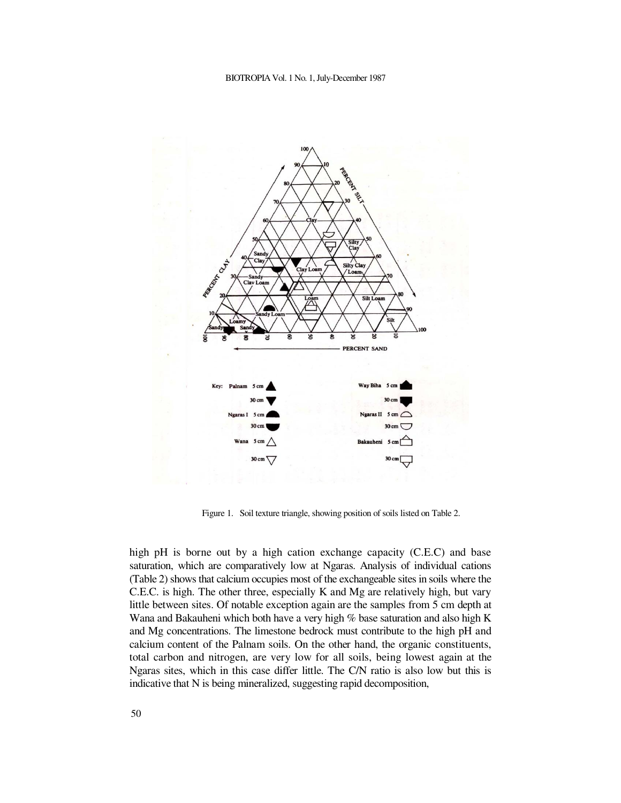

Figure 1. Soil texture triangle, showing position of soils listed on Table 2.

high pH is borne out by a high cation exchange capacity (C.E.C) and base saturation, which are comparatively low at Ngaras. Analysis of individual cations (Table 2) shows that calcium occupies most of the exchangeable sites in soils where the C.E.C. is high. The other three, especially K and Mg are relatively high, but vary little between sites. Of notable exception again are the samples from 5 cm depth at Wana and Bakauheni which both have a very high % base saturation and also high K and Mg concentrations. The limestone bedrock must contribute to the high pH and calcium content of the Palnam soils. On the other hand, the organic constituents, total carbon and nitrogen, are very low for all soils, being lowest again at the Ngaras sites, which in this case differ little. The C/N ratio is also low but this is indicative that N is being mineralized, suggesting rapid decomposition,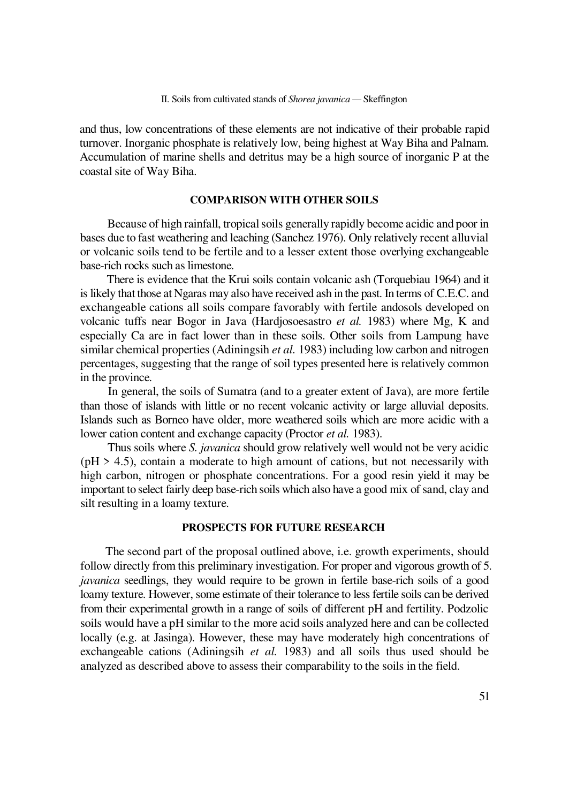#### II. Soils from cultivated stands of *Shorea javanica —* Skeffington

and thus, low concentrations of these elements are not indicative of their probable rapid turnover. Inorganic phosphate is relatively low, being highest at Way Biha and Palnam. Accumulation of marine shells and detritus may be a high source of inorganic P at the coastal site of Way Biha.

## **COMPARISON WITH OTHER SOILS**

Because of high rainfall, tropical soils generally rapidly become acidic and poor in bases due to fast weathering and leaching (Sanchez 1976). Only relatively recent alluvial or volcanic soils tend to be fertile and to a lesser extent those overlying exchangeable base-rich rocks such as limestone.

There is evidence that the Krui soils contain volcanic ash (Torquebiau 1964) and it is likely that those at Ngaras may also have received ash in the past. In terms of C.E.C. and exchangeable cations all soils compare favorably with fertile andosols developed on volcanic tuffs near Bogor in Java (Hardjosoesastro *et al.* 1983) where Mg, K and especially Ca are in fact lower than in these soils. Other soils from Lampung have similar chemical properties (Adiningsih *et al.* 1983) including low carbon and nitrogen percentages, suggesting that the range of soil types presented here is relatively common in the province.

In general, the soils of Sumatra (and to a greater extent of Java), are more fertile than those of islands with little or no recent volcanic activity or large alluvial deposits. Islands such as Borneo have older, more weathered soils which are more acidic with a lower cation content and exchange capacity (Proctor *et al.* 1983).

Thus soils where *S. javanica* should grow relatively well would not be very acidic  $(pH > 4.5)$ , contain a moderate to high amount of cations, but not necessarily with high carbon, nitrogen or phosphate concentrations. For a good resin yield it may be important to select fairly deep base-rich soils which also have a good mix of sand, clay and silt resulting in a loamy texture.

## **PROSPECTS FOR FUTURE RESEARCH**

The second part of the proposal outlined above, i.e. growth experiments, should follow directly from this preliminary investigation. For proper and vigorous growth of 5. *javanica* seedlings, they would require to be grown in fertile base-rich soils of a good loamy texture. However, some estimate of their tolerance to less fertile soils can be derived from their experimental growth in a range of soils of different pH and fertility. Podzolic soils would have a pH similar to the more acid soils analyzed here and can be collected locally (e.g. at Jasinga). However, these may have moderately high concentrations of exchangeable cations (Adiningsih *et al.* 1983) and all soils thus used should be analyzed as described above to assess their comparability to the soils in the field.